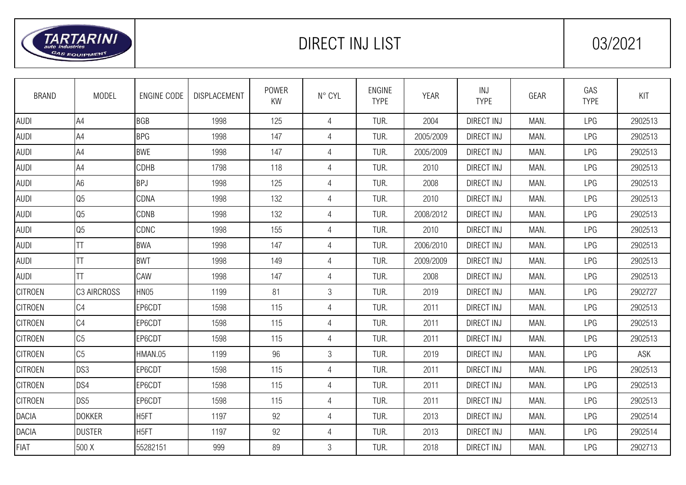

## DIRECT INJ LIST 103/2021

| <b>BRAND</b>   | <b>MODEL</b>    | <b>ENGINE CODE</b> | DISPLACEMENT | <b>POWER</b><br>KW | N° CYL         | <b>ENGINE</b><br><b>TYPE</b> | <b>YEAR</b> | INJ<br><b>TYPE</b> | GEAR | GAS<br><b>TYPE</b> | KIT     |
|----------------|-----------------|--------------------|--------------|--------------------|----------------|------------------------------|-------------|--------------------|------|--------------------|---------|
| <b>AUDI</b>    | A4              | <b>BGB</b>         | 1998         | 125                | $\overline{4}$ | TUR.                         | 2004        | <b>DIRECT INJ</b>  | MAN. | LPG                | 2902513 |
| <b>AUDI</b>    | A4              | <b>BPG</b>         | 1998         | 147                | 4              | TUR.                         | 2005/2009   | <b>DIRECT INJ</b>  | MAN. | LPG                | 2902513 |
| <b>AUDI</b>    | A4              | <b>BWE</b>         | 1998         | 147                | $\overline{4}$ | TUR.                         | 2005/2009   | <b>DIRECT INJ</b>  | MAN. | LPG                | 2902513 |
| <b>AUDI</b>    | A4              | CDHB               | 1798         | 118                | $\overline{4}$ | TUR.                         | 2010        | <b>DIRECT INJ</b>  | MAN. | LPG                | 2902513 |
| <b>AUDI</b>    | A <sub>6</sub>  | <b>BPJ</b>         | 1998         | 125                | $\overline{4}$ | TUR.                         | 2008        | <b>DIRECT INJ</b>  | MAN. | LPG                | 2902513 |
| <b>AUDI</b>    | Q <sub>5</sub>  | CDNA               | 1998         | 132                | $\overline{4}$ | TUR.                         | 2010        | <b>DIRECT INJ</b>  | MAN. | LPG                | 2902513 |
| <b>AUDI</b>    | Q <sub>5</sub>  | CDNB               | 1998         | 132                | 4              | TUR.                         | 2008/2012   | <b>DIRECT INJ</b>  | MAN. | LPG                | 2902513 |
| <b>AUDI</b>    | Q <sub>5</sub>  | CDNC               | 1998         | 155                | 4              | TUR.                         | 2010        | <b>DIRECT INJ</b>  | MAN. | LPG                | 2902513 |
| <b>AUDI</b>    | TΤ              | <b>BWA</b>         | 1998         | 147                | $\overline{4}$ | TUR.                         | 2006/2010   | <b>DIRECT INJ</b>  | MAN. | LPG                | 2902513 |
| <b>AUDI</b>    | ΤT              | <b>BWT</b>         | 1998         | 149                | $\overline{4}$ | TUR.                         | 2009/2009   | <b>DIRECT INJ</b>  | MAN. | LPG                | 2902513 |
| <b>AUDI</b>    | ΤT              | CAW                | 1998         | 147                | 4              | TUR.                         | 2008        | <b>DIRECT INJ</b>  | MAN. | LPG                | 2902513 |
| <b>CITROEN</b> | C3 AIRCROSS     | HN05               | 1199         | 81                 | 3              | TUR.                         | 2019        | <b>DIRECT INJ</b>  | MAN. | LPG                | 2902727 |
| <b>CITROEN</b> | C <sub>4</sub>  | EP6CDT             | 1598         | 115                | 4              | TUR.                         | 2011        | <b>DIRECT INJ</b>  | MAN. | LPG                | 2902513 |
| <b>CITROEN</b> | C4              | EP6CDT             | 1598         | 115                | $\overline{4}$ | TUR.                         | 2011        | <b>DIRECT INJ</b>  | MAN. | LPG                | 2902513 |
| <b>CITROEN</b> | C <sub>5</sub>  | EP6CDT             | 1598         | 115                | $\overline{4}$ | TUR.                         | 2011        | <b>DIRECT INJ</b>  | MAN. | LPG                | 2902513 |
| <b>CITROEN</b> | C <sub>5</sub>  | HMAN.05            | 1199         | 96                 | $\mathfrak{Z}$ | TUR.                         | 2019        | <b>DIRECT INJ</b>  | MAN. | LPG                | ASK     |
| <b>CITROEN</b> | DS3             | EP6CDT             | 1598         | 115                | 4              | TUR.                         | 2011        | <b>DIRECT INJ</b>  | MAN. | LPG                | 2902513 |
| <b>CITROEN</b> | DS4             | EP6CDT             | 1598         | 115                | 4              | TUR.                         | 2011        | <b>DIRECT INJ</b>  | MAN. | LPG                | 2902513 |
| <b>CITROEN</b> | DS <sub>5</sub> | EP6CDT             | 1598         | 115                | $\overline{4}$ | TUR.                         | 2011        | <b>DIRECT INJ</b>  | MAN. | LPG                | 2902513 |
| <b>DACIA</b>   | <b>DOKKER</b>   | H <sub>5FT</sub>   | 1197         | 92                 | $\overline{4}$ | TUR.                         | 2013        | <b>DIRECT INJ</b>  | MAN. | LPG                | 2902514 |
| <b>DACIA</b>   | <b>DUSTER</b>   | H <sub>5FT</sub>   | 1197         | 92                 | $\overline{4}$ | TUR.                         | 2013        | <b>DIRECT INJ</b>  | MAN. | LPG                | 2902514 |
| <b>FIAT</b>    | 500 X           | 55282151           | 999          | 89                 | 3              | TUR.                         | 2018        | <b>DIRECT INJ</b>  | MAN. | LPG                | 2902713 |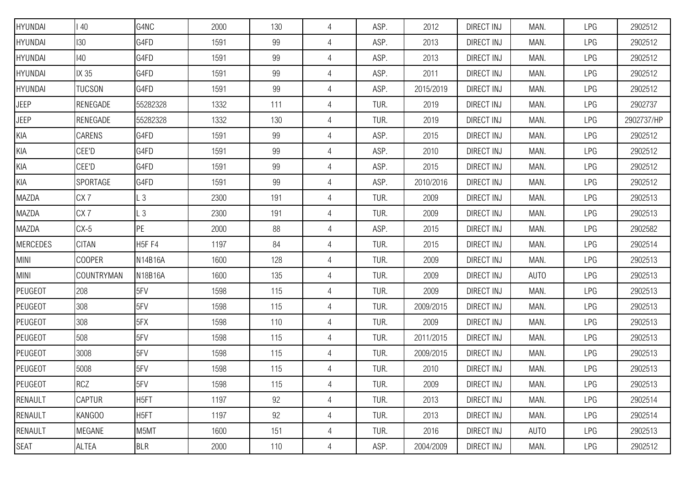| HYUNDAI         | $\overline{140}$ | G4NC               | 2000 | 130 | 4              | ASP. | 2012      | <b>DIRECT INJ</b> | MAN. | LPG | 2902512    |
|-----------------|------------------|--------------------|------|-----|----------------|------|-----------|-------------------|------|-----|------------|
| HYUNDAI         | 130              | G4FD               | 1591 | 99  | $\overline{4}$ | ASP. | 2013      | <b>DIRECT INJ</b> | MAN. | LPG | 2902512    |
| HYUNDAI         | 140              | G4FD               | 1591 | 99  | $\overline{4}$ | ASP. | 2013      | <b>DIRECT INJ</b> | MAN. | LPG | 2902512    |
| HYUNDAI         | IX 35            | G4FD               | 1591 | 99  | $\overline{4}$ | ASP. | 2011      | DIRECT INJ        | MAN. | LPG | 2902512    |
| HYUNDAI         | <b>TUCSON</b>    | G4FD               | 1591 | 99  | 4              | ASP. | 2015/2019 | <b>DIRECT INJ</b> | MAN. | LPG | 2902512    |
| <b>JEEP</b>     | RENEGADE         | 55282328           | 1332 | 111 | 4              | TUR. | 2019      | <b>DIRECT INJ</b> | MAN. | LPG | 2902737    |
| <b>JEEP</b>     | RENEGADE         | 55282328           | 1332 | 130 | $\overline{4}$ | TUR. | 2019      | DIRECT INJ        | MAN. | LPG | 2902737/HP |
| KIA             | CARENS           | G4FD               | 1591 | 99  | $\overline{4}$ | ASP. | 2015      | <b>DIRECT INJ</b> | MAN. | LPG | 2902512    |
| KIA             | CEE'D            | G4FD               | 1591 | 99  | $\overline{4}$ | ASP. | 2010      | DIRECT INJ        | MAN. | LPG | 2902512    |
| KIA             | CEE'D            | G4FD               | 1591 | 99  | $\overline{4}$ | ASP. | 2015      | DIRECT INJ        | MAN. | LPG | 2902512    |
| KIA             | SPORTAGE         | G4FD               | 1591 | 99  | 4              | ASP. | 2010/2016 | <b>DIRECT INJ</b> | MAN. | LPG | 2902512    |
| MAZDA           | CX <sub>7</sub>  | L <sub>3</sub>     | 2300 | 191 | 4              | TUR. | 2009      | <b>DIRECT INJ</b> | MAN. | LPG | 2902513    |
| MAZDA           | CX <sub>7</sub>  | L3                 | 2300 | 191 | $\overline{4}$ | TUR. | 2009      | <b>DIRECT INJ</b> | MAN. | LPG | 2902513    |
| MAZDA           | $CX-5$           | PE                 | 2000 | 88  | $\overline{4}$ | ASP. | 2015      | <b>DIRECT INJ</b> | MAN. | LPG | 2902582    |
| <b>MERCEDES</b> | <b>CITAN</b>     | H <sub>5F</sub> F4 | 1197 | 84  | $\overline{4}$ | TUR. | 2015      | DIRECT INJ        | MAN. | LPG | 2902514    |
| <b>MINI</b>     | <b>COOPER</b>    | N14B16A            | 1600 | 128 | 4              | TUR. | 2009      | <b>DIRECT INJ</b> | MAN. | LPG | 2902513    |
| MINI            | COUNTRYMAN       | N18B16A            | 1600 | 135 | $\overline{4}$ | TUR. | 2009      | <b>DIRECT INJ</b> | AUTO | LPG | 2902513    |
| PEUGEOT         | 208              | 5FV                | 1598 | 115 | $\overline{4}$ | TUR. | 2009      | <b>DIRECT INJ</b> | MAN. | LPG | 2902513    |
| PEUGEOT         | 308              | 5FV                | 1598 | 115 | $\overline{4}$ | TUR. | 2009/2015 | DIRECT INJ        | MAN. | LPG | 2902513    |
| PEUGEOT         | 308              | 5FX                | 1598 | 110 | $\overline{4}$ | TUR. | 2009      | <b>DIRECT INJ</b> | MAN. | LPG | 2902513    |
| PEUGEOT         | 508              | 5FV                | 1598 | 115 | $\overline{4}$ | TUR. | 2011/2015 | <b>DIRECT INJ</b> | MAN. | LPG | 2902513    |
| PEUGEOT         | 3008             | 5FV                | 1598 | 115 | 4              | TUR. | 2009/2015 | DIRECT INJ        | MAN. | LPG | 2902513    |
| PEUGEOT         | 5008             | 5FV                | 1598 | 115 | 4              | TUR. | 2010      | <b>DIRECT INJ</b> | MAN. | LPG | 2902513    |
| PEUGEOT         | <b>RCZ</b>       | 5FV                | 1598 | 115 | $\overline{4}$ | TUR. | 2009      | DIRECT INJ        | MAN. | LPG | 2902513    |
| RENAULT         | <b>CAPTUR</b>    | H <sub>5FT</sub>   | 1197 | 92  | $\overline{4}$ | TUR. | 2013      | DIRECT INJ        | MAN. | LPG | 2902514    |
| RENAULT         | KANGOO           | H <sub>5FT</sub>   | 1197 | 92  | $\overline{4}$ | TUR. | 2013      | DIRECT INJ        | MAN. | LPG | 2902514    |
| RENAULT         | MEGANE           | M5MT               | 1600 | 151 | $\overline{4}$ | TUR. | 2016      | <b>DIRECT INJ</b> | AUTO | LPG | 2902513    |
| <b>SEAT</b>     | <b>ALTEA</b>     | <b>BLR</b>         | 2000 | 110 | $\overline{4}$ | ASP. | 2004/2009 | DIRECT INJ        | MAN. | LPG | 2902512    |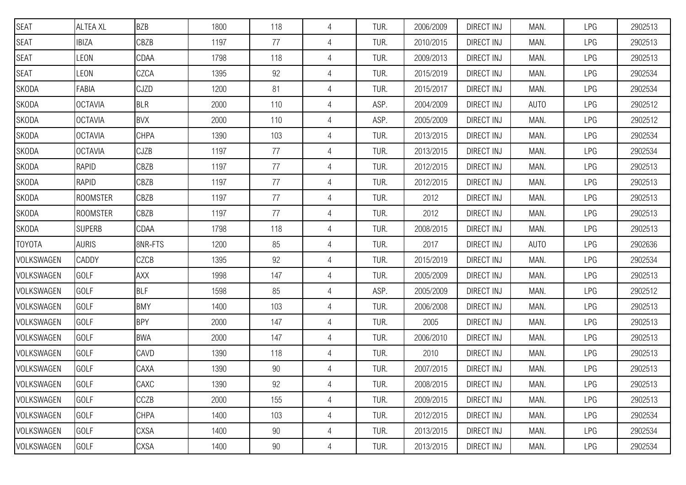| <b>SEAT</b>   | <b>ALTEA XL</b> | <b>BZB</b>  | 1800 | 118    | 4              | TUR. | 2006/2009 | <b>DIRECT INJ</b> | MAN.        | LPG | 2902513 |
|---------------|-----------------|-------------|------|--------|----------------|------|-----------|-------------------|-------------|-----|---------|
| SEAT          | <b>IBIZA</b>    | CBZB        | 1197 | 77     | $\overline{4}$ | TUR. | 2010/2015 | <b>DIRECT INJ</b> | MAN.        | LPG | 2902513 |
| <b>SEAT</b>   | LEON            | CDAA        | 1798 | 118    | $\overline{4}$ | TUR. | 2009/2013 | <b>DIRECT INJ</b> | MAN.        | LPG | 2902513 |
| <b>SEAT</b>   | LEON            | CZCA        | 1395 | 92     | 4              | TUR. | 2015/2019 | DIRECT INJ        | MAN.        | LPG | 2902534 |
| SKODA         | FABIA           | <b>CJZD</b> | 1200 | 81     | 4              | TUR. | 2015/2017 | DIRECT INJ        | MAN.        | LPG | 2902534 |
| SKODA         | <b>OCTAVIA</b>  | <b>BLR</b>  | 2000 | 110    | 4              | ASP. | 2004/2009 | <b>DIRECT INJ</b> | <b>AUTO</b> | LPG | 2902512 |
| SKODA         | <b>OCTAVIA</b>  | <b>BVX</b>  | 2000 | 110    | $\overline{4}$ | ASP. | 2005/2009 | <b>DIRECT INJ</b> | MAN.        | LPG | 2902512 |
| SKODA         | <b>OCTAVIA</b>  | <b>CHPA</b> | 1390 | 103    | $\overline{4}$ | TUR. | 2013/2015 | <b>DIRECT INJ</b> | MAN.        | LPG | 2902534 |
| SKODA         | <b>OCTAVIA</b>  | <b>CJZB</b> | 1197 | 77     | $\overline{4}$ | TUR. | 2013/2015 | <b>DIRECT INJ</b> | MAN.        | LPG | 2902534 |
| SKODA         | <b>RAPID</b>    | CBZB        | 1197 | 77     | 4              | TUR. | 2012/2015 | DIRECT INJ        | MAN.        | LPG | 2902513 |
| SKODA         | <b>RAPID</b>    | CBZB        | 1197 | 77     | 4              | TUR. | 2012/2015 | <b>DIRECT INJ</b> | MAN.        | LPG | 2902513 |
| SKODA         | <b>ROOMSTER</b> | CBZB        | 1197 | 77     | 4              | TUR. | 2012      | DIRECT INJ        | MAN.        | LPG | 2902513 |
| SKODA         | <b>ROOMSTER</b> | CBZB        | 1197 | 77     | $\overline{4}$ | TUR. | 2012      | <b>DIRECT INJ</b> | MAN.        | LPG | 2902513 |
| SKODA         | <b>SUPERB</b>   | CDAA        | 1798 | 118    | 4              | TUR. | 2008/2015 | DIRECT INJ        | MAN.        | LPG | 2902513 |
| <b>TOYOTA</b> | <b>AURIS</b>    | 8NR-FTS     | 1200 | 85     | 4              | TUR. | 2017      | DIRECT INJ        | <b>AUTO</b> | LPG | 2902636 |
| VOLKSWAGEN    | CADDY           | <b>CZCB</b> | 1395 | 92     | 4              | TUR. | 2015/2019 | <b>DIRECT INJ</b> | MAN.        | LPG | 2902534 |
| VOLKSWAGEN    | GOLF            | <b>AXX</b>  | 1998 | 147    | 4              | TUR. | 2005/2009 | <b>DIRECT INJ</b> | MAN.        | LPG | 2902513 |
| VOLKSWAGEN    | GOLF            | <b>BLF</b>  | 1598 | 85     | 4              | ASP. | 2005/2009 | <b>DIRECT INJ</b> | MAN.        | LPG | 2902512 |
| VOLKSWAGEN    | GOLF            | <b>BMY</b>  | 1400 | 103    | $\overline{4}$ | TUR. | 2006/2008 | <b>DIRECT INJ</b> | MAN.        | LPG | 2902513 |
| VOLKSWAGEN    | GOLF            | <b>BPY</b>  | 2000 | 147    | $\overline{4}$ | TUR. | 2005      | <b>DIRECT INJ</b> | MAN.        | LPG | 2902513 |
| VOLKSWAGEN    | GOLF            | <b>BWA</b>  | 2000 | 147    | 4              | TUR. | 2006/2010 | <b>DIRECT INJ</b> | MAN.        | LPG | 2902513 |
| VOLKSWAGEN    | GOLF            | CAVD        | 1390 | 118    | 4              | TUR. | 2010      | DIRECT INJ        | MAN.        | LPG | 2902513 |
| VOLKSWAGEN    | GOLF            | CAXA        | 1390 | $90\,$ | 4              | TUR. | 2007/2015 | <b>DIRECT INJ</b> | MAN.        | LPG | 2902513 |
| VOLKSWAGEN    | GOLF            | CAXC        | 1390 | 92     | $\overline{4}$ | TUR. | 2008/2015 | DIRECT INJ        | MAN.        | LPG | 2902513 |
| VOLKSWAGEN    | <b>GOLF</b>     | CCZB        | 2000 | 155    | $\overline{4}$ | TUR. | 2009/2015 | DIRECT INJ        | MAN.        | LPG | 2902513 |
| VOLKSWAGEN    | GOLF            | <b>CHPA</b> | 1400 | 103    | $\overline{4}$ | TUR. | 2012/2015 | <b>DIRECT INJ</b> | MAN.        | LPG | 2902534 |
| VOLKSWAGEN    | <b>GOLF</b>     | <b>CXSA</b> | 1400 | 90     | 4              | TUR. | 2013/2015 | DIRECT INJ        | MAN.        | LPG | 2902534 |
| VOLKSWAGEN    | <b>GOLF</b>     | <b>CXSA</b> | 1400 | 90     | 4              | TUR. | 2013/2015 | <b>DIRECT INJ</b> | MAN.        | LPG | 2902534 |